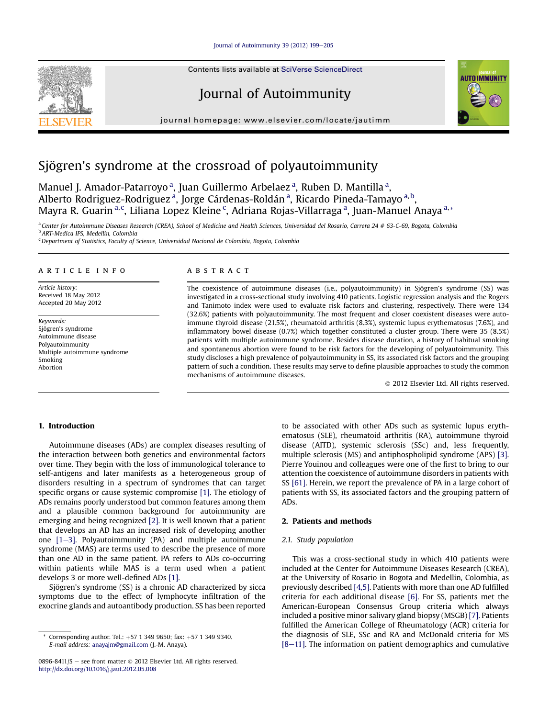#### [Journal of Autoimmunity 39 \(2012\) 199](http://dx.doi.org/10.1016/j.jaut.2012.05.008)-[205](http://dx.doi.org/10.1016/j.jaut.2012.05.008)

Contents lists available at SciVerse ScienceDirect

# Journal of Autoimmunity

journal homepage:<www.elsevier.com/locate/jautimm>



# Sjögren's syndrome at the crossroad of polyautoimmunity

Manuel J. Amador-Patarroyo<sup>a</sup>, Juan Guillermo Arbelaez<sup>a</sup>, Ruben D. Mantilla<sup>a</sup>, Alberto Rodriguez-Rodriguez<sup>a</sup>, Jorge Cárdenas-Roldán<sup>a</sup>, Ricardo Pineda-Tamayo<sup>a,b</sup>, Mayra R. Guarin <sup>a, c</sup>, Liliana Lopez Kleine <sup>c</sup>, Adriana Rojas-Villarraga <sup>a</sup>, Juan-Manuel Anaya <sup>a, \*</sup>

<sup>a</sup> Center for Autoimmune Diseases Research (CREA), School of Medicine and Health Sciences, Universidad del Rosario, Carrera 24 # 63-C-69, Bogota, Colombia <sup>b</sup> ART-Medica IPS, Medellin, Colombia

 $c$ Department of Statistics, Faculty of Science, Universidad Nacional de Colombia, Bogota, Colombia

### article info

Article history: Received 18 May 2012 Accepted 20 May 2012

Keywords: Sjögren's syndrome Autoimmune disease Polyautoimmunity Multiple autoimmune syndrome Smoking Abortion

# ABSTRACT

The coexistence of autoimmune diseases (i.e., polyautoimmunity) in Sjögren's syndrome (SS) was investigated in a cross-sectional study involving 410 patients. Logistic regression analysis and the Rogers and Tanimoto index were used to evaluate risk factors and clustering, respectively. There were 134 (32.6%) patients with polyautoimmunity. The most frequent and closer coexistent diseases were autoimmune thyroid disease (21.5%), rheumatoid arthritis (8.3%), systemic lupus erythematosus (7.6%), and inflammatory bowel disease (0.7%) which together constituted a cluster group. There were 35 (8.5%) patients with multiple autoimmune syndrome. Besides disease duration, a history of habitual smoking and spontaneous abortion were found to be risk factors for the developing of polyautoimmunity. This study discloses a high prevalence of polyautoimmunity in SS, its associated risk factors and the grouping pattern of such a condition. These results may serve to define plausible approaches to study the common mechanisms of autoimmune diseases.

2012 Elsevier Ltd. All rights reserved.

# 1. Introduction

Autoimmune diseases (ADs) are complex diseases resulting of the interaction between both genetics and environmental factors over time. They begin with the loss of immunological tolerance to self-antigens and later manifests as a heterogeneous group of disorders resulting in a spectrum of syndromes that can target specific organs or cause systemic compromise [\[1\].](#page-4-0) The etiology of ADs remains poorly understood but common features among them and a plausible common background for autoimmunity are emerging and being recognized [\[2\].](#page-4-0) It is well known that a patient that develops an AD has an increased risk of developing another one  $[1-3]$  $[1-3]$  $[1-3]$ . Polyautoimmunity  $(PA)$  and multiple autoimmune syndrome (MAS) are terms used to describe the presence of more than one AD in the same patient. PA refers to ADs co-occurring within patients while MAS is a term used when a patient develops 3 or more well-defined ADs [\[1\]](#page-4-0).

Sjögren's syndrome (SS) is a chronic AD characterized by sicca symptoms due to the effect of lymphocyte infiltration of the exocrine glands and autoantibody production. SS has been reported to be associated with other ADs such as systemic lupus erythematosus (SLE), rheumatoid arthritis (RA), autoimmune thyroid disease (AITD), systemic sclerosis (SSc) and, less frequently, multiple sclerosis (MS) and antiphospholipid syndrome (APS) [\[3\].](#page-4-0) Pierre Youinou and colleagues were one of the first to bring to our attention the coexistence of autoimmune disorders in patients with SS [\[61\].](#page-6-0) Herein, we report the prevalence of PA in a large cohort of patients with SS, its associated factors and the grouping pattern of ADs.

## 2. Patients and methods

#### 2.1. Study population

This was a cross-sectional study in which 410 patients were included at the Center for Autoimmune Diseases Research (CREA), at the University of Rosario in Bogota and Medellin, Colombia, as previously described [\[4,5\]](#page-4-0). Patients with more than one AD fulfilled criteria for each additional disease [\[6\]](#page-5-0). For SS, patients met the American-European Consensus Group criteria which always included a positive minor salivary gland biopsy (MSGB) [\[7\].](#page-5-0) Patients fulfilled the American College of Rheumatology (ACR) criteria for the diagnosis of SLE, SSc and RA and McDonald criteria for MS  $[8-11]$  $[8-11]$ . The information on patient demographics and cumulative

Corresponding author. Tel.:  $+57$  1 349 9650; fax:  $+57$  1 349 9340. E-mail address: [anayajm@gmail.com](mailto:anayajm@gmail.com) (J.-M. Anaya).

<sup>0896-8411/\$ -</sup> see front matter  $\odot$  2012 Elsevier Ltd. All rights reserved. <http://dx.doi.org/10.1016/j.jaut.2012.05.008>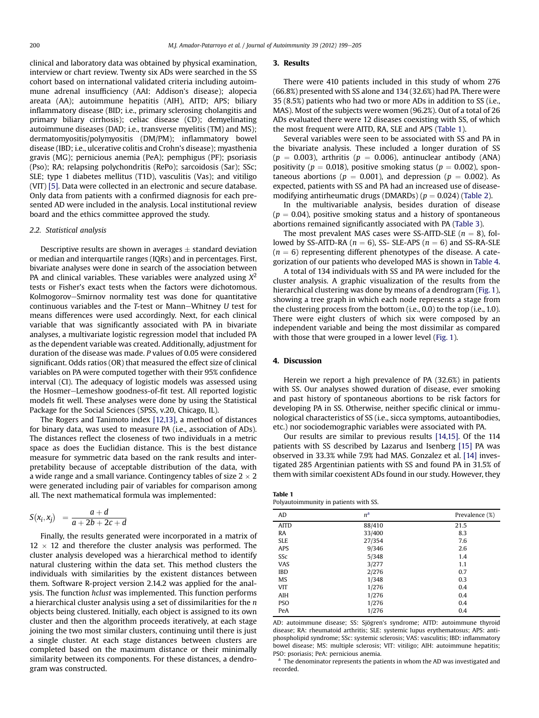clinical and laboratory data was obtained by physical examination, interview or chart review. Twenty six ADs were searched in the SS cohort based on international validated criteria including autoimmune adrenal insufficiency (AAI: Addison's disease); alopecia areata (AA); autoimmune hepatitis (AIH), AITD; APS; biliary inflammatory disease (BID; i.e., primary sclerosing cholangitis and primary biliary cirrhosis); celiac disease (CD); demyelinating autoimmune diseases (DAD; i.e., transverse myelitis (TM) and MS); dermatomyositis/polymyositis (DM/PM); inflammatory bowel disease (IBD; i.e., ulcerative colitis and Crohn's disease); myasthenia gravis (MG); pernicious anemia (PeA); pemphigus (PF); psoriasis (Pso); RA; relapsing polychondritis (RePo); sarcoidosis (Sar); SSc; SLE; type 1 diabetes mellitus (T1D), vasculitis (Vas); and vitiligo (VIT) [\[5\]](#page-4-0). Data were collected in an electronic and secure database. Only data from patients with a confirmed diagnosis for each presented AD were included in the analysis. Local institutional review board and the ethics committee approved the study.

#### 2.2. Statistical analysis

Descriptive results are shown in averages  $\pm$  standard deviation or median and interquartile ranges (IQRs) and in percentages. First, bivariate analyses were done in search of the association between PA and clinical variables. These variables were analyzed using  $X^2$ tests or Fisher's exact tests when the factors were dichotomous. Kolmogorov-Smirnov normality test was done for quantitative continuous variables and the  $T$ -test or Mann-Whitney  $U$  test for means differences were used accordingly. Next, for each clinical variable that was significantly associated with PA in bivariate analyses, a multivariate logistic regression model that included PA as the dependent variable was created. Additionally, adjustment for duration of the disease was made. P values of 0.05 were considered significant. Odds ratios (OR) that measured the effect size of clinical variables on PA were computed together with their 95% confidence interval (CI). The adequacy of logistic models was assessed using the Hosmer-Lemeshow goodness-of-fit test. All reported logistic models fit well. These analyses were done by using the Statistical Package for the Social Sciences (SPSS, v.20, Chicago, IL).

The Rogers and Tanimoto index [\[12,13\]](#page-5-0), a method of distances for binary data, was used to measure PA (i.e., association of ADs). The distances reflect the closeness of two individuals in a metric space as does the Euclidian distance. This is the best distance measure for symmetric data based on the rank results and interpretability because of acceptable distribution of the data, with a wide range and a small variance. Contingency tables of size  $2 \times 2$ were generated including pair of variables for comparison among all. The next mathematical formula was implemented:

$$
S(x_i, x_j) = \frac{a+d}{a+2b+2c+d}
$$

Finally, the results generated were incorporated in a matrix of  $12 \times 12$  and therefore the cluster analysis was performed. The cluster analysis developed was a hierarchical method to identify natural clustering within the data set. This method clusters the individuals with similarities by the existent distances between them. Software R-project version 2.14.2 was applied for the analysis. The function hclust was implemented. This function performs a hierarchical cluster analysis using a set of dissimilarities for the  $n$ objects being clustered. Initially, each object is assigned to its own cluster and then the algorithm proceeds iteratively, at each stage joining the two most similar clusters, continuing until there is just a single cluster. At each stage distances between clusters are completed based on the maximum distance or their minimally similarity between its components. For these distances, a dendrogram was constructed.

#### 3. Results

There were 410 patients included in this study of whom 276 (66.8%) presented with SS alone and 134 (32.6%) had PA. There were 35 (8.5%) patients who had two or more ADs in addition to SS (i.e., MAS). Most of the subjects were women (96.2%). Out of a total of 26 ADs evaluated there were 12 diseases coexisting with SS, of which the most frequent were AITD, RA, SLE and APS (Table 1).

Several variables were seen to be associated with SS and PA in the bivariate analysis. These included a longer duration of SS  $(p = 0.003)$ , arthritis  $(p = 0.006)$ , antinuclear antibody (ANA) positivity ( $p = 0.018$ ), positive smoking status ( $p = 0.002$ ), spontaneous abortions ( $p = 0.001$ ), and depression ( $p = 0.002$ ). As expected, patients with SS and PA had an increased use of diseasemodifying antirheumatic drugs (DMARDs) ( $p = 0.024$ ) ([Table 2\)](#page-2-0).

In the multivariable analysis, besides duration of disease  $(p = 0.04)$ , positive smoking status and a history of spontaneous abortions remained significantly associated with PA [\(Table 3](#page-2-0)).

The most prevalent MAS cases were SS-AITD-SLE ( $n = 8$ ), followed by SS-AITD-RA ( $n = 6$ ), SS- SLE-APS ( $n = 6$ ) and SS-RA-SLE  $(n = 6)$  representing different phenotypes of the disease. A categorization of our patients who developed MAS is shown in [Table 4.](#page-2-0)

A total of 134 individuals with SS and PA were included for the cluster analysis. A graphic visualization of the results from the hierarchical clustering was done by means of a dendrogram ([Fig. 1\)](#page-3-0), showing a tree graph in which each node represents a stage from the clustering process from the bottom (i.e., 0.0) to the top (i.e., 1.0). There were eight clusters of which six were composed by an independent variable and being the most dissimilar as compared with those that were grouped in a lower level ([Fig. 1\)](#page-3-0).

## 4. Discussion

Herein we report a high prevalence of PA (32.6%) in patients with SS. Our analyses showed duration of disease, ever smoking and past history of spontaneous abortions to be risk factors for developing PA in SS. Otherwise, neither specific clinical or immunological characteristics of SS (i.e., sicca symptoms, autoantibodies, etc.) nor sociodemographic variables were associated with PA.

Our results are similar to previous results [\[14,15\]](#page-5-0). Of the 114 patients with SS described by Lazarus and Isenberg [\[15\]](#page-5-0) PA was observed in 33.3% while 7.9% had MAS. Gonzalez et al. [\[14\]](#page-5-0) investigated 285 Argentinian patients with SS and found PA in 31.5% of them with similar coexistent ADs found in our study. However, they

|   | Table 1 |  |  |  |
|---|---------|--|--|--|
| - |         |  |  |  |

|  |  |  |  |  | Polyautoimmunity in patients with SS. |  |  |
|--|--|--|--|--|---------------------------------------|--|--|
|--|--|--|--|--|---------------------------------------|--|--|

| AD          | $n^{\rm a}$ | Prevalence (%) |
|-------------|-------------|----------------|
| <b>AITD</b> | 88/410      | 21.5           |
| RA          | 33/400      | 8.3            |
| <b>SLE</b>  | 27/354      | 7.6            |
| APS         | 9/346       | 2.6            |
| <b>SSc</b>  | 5/348       | 1.4            |
| VAS         | 3/277       | 1.1            |
| IBD         | 2/276       | 0.7            |
| MS          | 1/348       | 0.3            |
| VIT         | 1/276       | 0.4            |
| AIH         | 1/276       | 0.4            |
| <b>PSO</b>  | 1/276       | 0.4            |
| PeA         | 1/276       | 0.4            |

AD: autoimmune disease; SS: Sjögren's syndrome; AITD: autoimmune thyroid disease; RA: rheumatoid arthritis; SLE: systemic lupus erythematosus; APS: antiphospholipid syndrome; SSc: systemic sclerosis; VAS: vasculitis; IBD: inflammatory bowel disease; MS: multiple sclerosis; VIT: vitiligo; AIH: autoimmune hepatitis; PSO: psoriasis; PeA: pernicious anemia.

 $^{\rm a}$  The denominator represents the patients in whom the AD was investigated and recorded.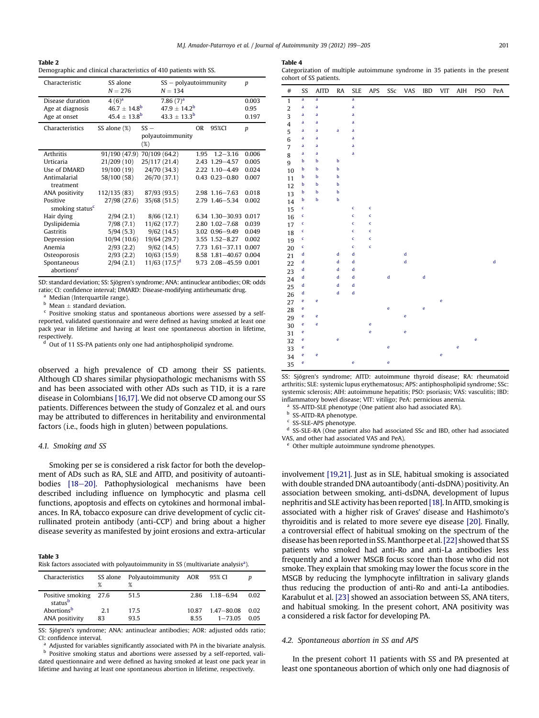## <span id="page-2-0"></span>Table 2

| Demographic and clinical characteristics of 410 patients with SS. |  |  |  |  |  |  |
|-------------------------------------------------------------------|--|--|--|--|--|--|
|-------------------------------------------------------------------|--|--|--|--|--|--|

| Characteristic                                       | SS alone<br>$N = 276$                                            |                  | $SS - polyautoimmanity$<br>$N = 134$                               | p                      |                       |       |
|------------------------------------------------------|------------------------------------------------------------------|------------------|--------------------------------------------------------------------|------------------------|-----------------------|-------|
| Disease duration<br>Age at diagnosis<br>Age at onset | $4(6)^{a}$<br>$46.7 \pm 14.8^{\rm b}$<br>$45.4 \pm 13.8^{\rm b}$ |                  | 7.86 $(7)^a$<br>$47.9 \pm 14.2^{\rm b}$<br>$43.3 \pm 13.3^{\rm b}$ | 0.003<br>0.95<br>0.197 |                       |       |
| Characteristics                                      | SS alone (%)                                                     | $SS -$<br>$(\%)$ | polyautoimmunity                                                   | OR.                    | 95%CI                 | p     |
| Arthritis                                            | 91/190 (47.9)                                                    | 70/109 (64.2)    |                                                                    | 1.95                   | $1.2 - 3.16$          | 0.006 |
| Urticaria                                            | 21/209 (10)                                                      | 25/117 (21.4)    |                                                                    |                        | 2.43 1.29 - 4.57      | 0.005 |
| Use of DMARD                                         | 19/100 (19)                                                      |                  | 24/70 (34.3)                                                       |                        | 2.22 1.10 - 4.49      | 0.024 |
| Antimalarial<br>treatment                            | 58/100 (58)                                                      |                  | 26/70 (37.1)                                                       |                        | $0.43$ $0.23 - 0.80$  | 0.007 |
| ANA positivity                                       | 112/135 (83)                                                     |                  | 87/93 (93.5)                                                       |                        | $2.98$ 1.16-7.63      | 0.018 |
| Positive<br>smoking status <sup>c</sup>              | 27/98 (27.6)                                                     |                  | 35/68 (51.5)                                                       |                        | 2.79 1.46-5.34        | 0.002 |
| Hair dying                                           | 2/94(2.1)                                                        |                  | 8/66(12.1)                                                         |                        | 6.34 1.30 - 30.93     | 0.017 |
| Dyslipidemia                                         | 7/98(7.1)                                                        |                  | 11/62 (17.7)                                                       |                        | $2.80$ 1.02-7.68      | 0.039 |
| Gastritis                                            | 5/94(5.3)                                                        |                  | 9/62(14.5)                                                         |                        | 3.02 0.96 - 9.49      | 0.049 |
| Depression                                           | 10/94(10.6)                                                      |                  | 19/64 (29.7)                                                       |                        | $3.55$ $1.52 - 8.27$  | 0.002 |
| Anemia                                               | 2/93(2.2)                                                        |                  | 9/62(14.5)                                                         |                        | 7.73 1.61-37.11       | 0.007 |
| Osteoporosis                                         | 2/93(2.2)                                                        |                  | 10/63 (15.9)                                                       |                        | 8.58 1.81-40.67 0.004 |       |
| Spontaneous<br>abortions <sup>c</sup>                | 2/94(2.1)                                                        |                  | $11/63$ $(17.5)^d$                                                 |                        | 9.73 2.08-45.59 0.001 |       |

SD: standard deviation; SS: Sjögren's syndrome; ANA: antinuclear antibodies; OR: odds ratio; CI: confidence interval; DMARD: Disease-modifying antirheumatic drug.

<sup>a</sup> Median (Interquartile range).

 $\frac{b}{c}$  Mean  $\pm$  standard deviation.

<sup>c</sup> Positive smoking status and spontaneous abortions were assessed by a selfreported, validated questionnaire and were defined as having smoked at least one pack year in lifetime and having at least one spontaneous abortion in lifetime, respectively.

Out of 11 SS-PA patients only one had antiphospholipid syndrome.

observed a high prevalence of CD among their SS patients. Although CD shares similar physiopathologic mechanisms with SS and has been associated with other ADs such as T1D, it is a rare disease in Colombians [\[16,17\].](#page-5-0) We did not observe CD among our SS patients. Differences between the study of Gonzalez et al. and ours may be attributed to differences in heritability and environmental factors (i.e., foods high in gluten) between populations.

#### 4.1. Smoking and SS

Smoking per se is considered a risk factor for both the development of ADs such as RA, SLE and AITD, and positivity of autoanti-bodies [\[18](#page-5-0)-[20\].](#page-5-0) Pathophysiological mechanisms have been described including influence on lymphocytic and plasma cell functions, apoptosis and effects on cytokines and hormonal imbalances. In RA, tobacco exposure can drive development of cyclic citrullinated protein antibody (anti-CCP) and bring about a higher disease severity as manifested by joint erosions and extra-articular

| Table 3                                                                                    |
|--------------------------------------------------------------------------------------------|
| Risk factors associated with polyautoimmunity in SS (multivariate analysis <sup>a</sup> ). |

| Characteristics                  | SS alone<br>$\%$ | Polyautoimmunity AOR<br>% |       | 95% CI           |      |
|----------------------------------|------------------|---------------------------|-------|------------------|------|
| Positive smoking 27.6<br>statusb |                  | 51.5                      |       | 2.86 1.18 - 6.94 | 0.02 |
| Abortions <sup>b</sup>           | 2.1              | 17.5                      | 10.87 | 1.47-80.08       | 0.02 |
| ANA positivity                   | 83               | 93.5                      | 8.55  | $1 - 73.05$      | 005  |

SS: Sjögren's syndrome; ANA: antinuclear antibodies; AOR: adjusted odds ratio; CI: confidence interval.

<sup>a</sup> Adjusted for variables significantly associated with PA in the bivariate analysis. Positive smoking status and abortions were assessed by a self-reported, validated questionnaire and were defined as having smoked at least one pack year in

lifetime and having at least one spontaneous abortion in lifetime, respectively.

Categorization of multiple autoimmune syndrome in 35 patients in the present cohort of SS patients.

| $\#$                    | SS             | <b>AITD</b>    | RA          | <b>SLE</b>     | APS         | SSc | VAS         | <b>IBD</b>  | <b>VIT</b> | AIH | <b>PSO</b> | PeA         |
|-------------------------|----------------|----------------|-------------|----------------|-------------|-----|-------------|-------------|------------|-----|------------|-------------|
| $\mathbf{1}$            | $\overline{a}$ | $\overline{a}$ |             | $\overline{a}$ |             |     |             |             |            |     |            |             |
| $\overline{c}$          | a              | $\mathbf a$    |             | a              |             |     |             |             |            |     |            |             |
| 3                       | a              | a              |             | a              |             |     |             |             |            |     |            |             |
| $\overline{\mathbf{4}}$ | a              | a              |             | a              |             |     |             |             |            |     |            |             |
| 5                       | a              | a              | a           | a              |             |     |             |             |            |     |            |             |
| 6                       | a              | a              |             | a              |             |     |             |             |            |     |            |             |
| $\overline{7}$          | a              | a              |             | a              |             |     |             |             |            |     |            |             |
| 8                       | a              | a              |             | a              |             |     |             |             |            |     |            |             |
| 9                       | b              | b              | b           |                |             |     |             |             |            |     |            |             |
| 10                      | b              | $\mathbf b$    | b           |                |             |     |             |             |            |     |            |             |
| 11                      | b              | b              | b           |                |             |     |             |             |            |     |            |             |
| 12                      | b              | b              | b           |                |             |     |             |             |            |     |            |             |
| 13                      | b              | $\mathbf b$    | b           |                |             |     |             |             |            |     |            |             |
| 14                      | b              | $\mathbf b$    | $\mathbf b$ |                |             |     |             |             |            |     |            |             |
| 15                      | $\mathsf{c}$   |                |             | $\mathbf c$    | c           |     |             |             |            |     |            |             |
| 16                      | $\mathbf c$    |                |             | $\mathbf c$    | c           |     |             |             |            |     |            |             |
| 17                      | c              |                |             | c              | c           |     |             |             |            |     |            |             |
| 18                      | $\mathbf c$    |                |             | c              | c           |     |             |             |            |     |            |             |
| 19                      | $\mathbf c$    |                |             | $\mathbf c$    | $\mathbf c$ |     |             |             |            |     |            |             |
| 20                      | c              |                |             | $\mathsf{c}$   | $\mathbf c$ |     |             |             |            |     |            |             |
| 21                      | $\mathbf d$    |                | $\mathbf d$ | $\mathbf d$    |             |     | $\mathbf d$ |             |            |     |            |             |
| 22                      | d              |                | $\mathbf d$ | $\mathbf d$    |             |     | d           |             |            |     |            | $\mathbf d$ |
| 23                      | d              |                | $\mathbf d$ | $\mathbf d$    |             |     |             |             |            |     |            |             |
| 24                      | ${\bf d}$      |                | d           | $\mathbf d$    |             | d   |             | $\mathbf d$ |            |     |            |             |
| 25                      | d              |                | d           | $\mathbf d$    |             |     |             |             |            |     |            |             |
| 26                      | d              |                | d           | $\mathbf d$    |             |     |             |             |            |     |            |             |
| 27                      | e              | e              |             |                |             |     |             |             | e          |     |            |             |
| 28                      | e              |                |             |                |             | e   |             | e           |            |     |            |             |
| 29                      | e              | e              |             |                |             |     | e           |             |            |     |            |             |
| 30                      | e              | e              |             |                | e           |     |             |             |            |     |            |             |
| 31                      | e              |                |             |                | e           |     | e           |             |            |     |            |             |
| 32                      | e              |                | e           |                |             |     |             |             |            |     | e          |             |
|                         | e              |                |             |                |             | e   |             |             |            | e   |            |             |
| 33                      | e              | e              |             |                |             |     |             |             | e          |     |            |             |
| 34                      | e              |                |             | e              |             | e   |             |             |            |     |            |             |
| 35                      |                |                |             |                |             |     |             |             |            |     |            |             |

SS: Sjögren's syndrome; AITD: autoimmune thyroid disease; RA: rheumatoid arthritis; SLE: systemic lupus erythematosus; APS: antiphospholipid syndrome; SSc: systemic sclerosis; AIH: autoimmune hepatitis; PSO: psoriasis; VAS: vasculitis; IBD: inflammatory bowel disease; VIT: vitiligo; PeA: pernicious anemia.

 $a$  SS-AITD-SLE phenotype (One patient also had associated RA).

SS-AITD-RA phenotype.

<sup>c</sup> SS-SLE-APS phenotype.

<sup>d</sup> SS-SLE-RA (One patient also had associated SSc and IBD, other had associated

VAS, and other had associated VAS and PeA). <sup>e</sup> Other multiple autoimmune syndrome phenotypes.

involvement [\[19,21\]](#page-5-0). Just as in SLE, habitual smoking is associated with double stranded DNA autoantibody (anti-dsDNA) positivity. An association between smoking, anti-dsDNA, development of lupus nephritis and SLE activity has been reported [\[18\].](#page-5-0) In AITD, smoking is associated with a higher risk of Graves' disease and Hashimoto's thyroiditis and is related to more severe eye disease [\[20\]](#page-5-0). Finally, a controversial effect of habitual smoking on the spectrum of the disease has been reported in SS.Manthorpe et al.[\[22\]](#page-5-0) showed that SS patients who smoked had anti-Ro and anti-La antibodies less frequently and a lower MSGB focus score than those who did not smoke. They explain that smoking may lower the focus score in the MSGB by reducing the lymphocyte infiltration in salivary glands thus reducing the production of anti-Ro and anti-La antibodies. Karabulut et al. [\[23\]](#page-5-0) showed an association between SS, ANA titers, and habitual smoking. In the present cohort, ANA positivity was a considered a risk factor for developing PA.

#### 4.2. Spontaneous abortion in SS and APS

In the present cohort 11 patients with SS and PA presented at least one spontaneous abortion of which only one had diagnosis of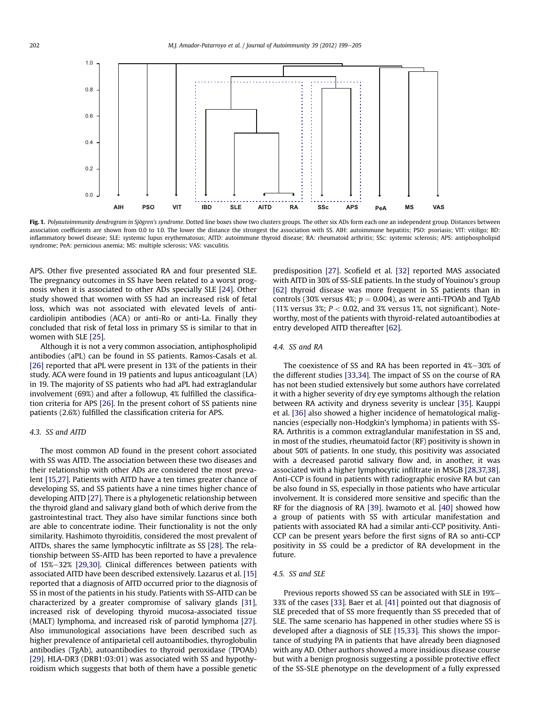<span id="page-3-0"></span>

Fig. 1. Polyautoimmunity dendrogram in Sjögren's syndrome. Dotted line boxes show two clusters groups. The other six ADs form each one an independent group. Distances between association coefficients are shown from 0.0 to 1.0. The lower the distance the strongest the association with SS. AIH: autoimmune hepatitis; PSO: psoriasis; VIT: vitiligo; BD: inflammatory bowel disease; SLE: systemic lupus erythematosus; AITD: autoimmune thyroid disease; RA: rheumatoid arthritis; SSc: systemic sclerosis; APS: antiphospholipid syndrome; PeA: pernicious anemia; MS: multiple sclerosis; VAS: vasculitis.

APS. Other five presented associated RA and four presented SLE. The pregnancy outcomes in SS have been related to a worst prognosis when it is associated to other ADs specially SLE [\[24\]](#page-5-0). Other study showed that women with SS had an increased risk of fetal loss, which was not associated with elevated levels of anticardiolipin antibodies (ACA) or anti-Ro or anti-La. Finally they concluded that risk of fetal loss in primary SS is similar to that in women with SLE [\[25\]](#page-5-0).

Although it is not a very common association, antiphospholipid antibodies (aPL) can be found in SS patients. Ramos-Casals et al. [\[26\]](#page-5-0) reported that aPL were present in 13% of the patients in their study. ACA were found in 19 patients and lupus anticoagulant (LA) in 19. The majority of SS patients who had aPL had extraglandular involvement (69%) and after a followup, 4% fulfilled the classification criteria for APS [\[26\].](#page-5-0) In the present cohort of SS patients nine patients (2.6%) fulfilled the classification criteria for APS.

## 4.3. SS and AITD

The most common AD found in the present cohort associated with SS was AITD. The association between these two diseases and their relationship with other ADs are considered the most prevalent [\[15,27\]](#page-5-0). Patients with AITD have a ten times greater chance of developing SS, and SS patients have a nine times higher chance of developing AITD [\[27\]](#page-5-0). There is a phylogenetic relationship between the thyroid gland and salivary gland both of which derive from the gastrointestinal tract. They also have similar functions since both are able to concentrate iodine. Their functionality is not the only similarity. Hashimoto thyroiditis, considered the most prevalent of AITDs, shares the same lymphocytic infiltrate as SS [\[28\]](#page-5-0). The relationship between SS-AITD has been reported to have a prevalence of 15%-32% [\[29,30\]](#page-5-0). Clinical differences between patients with associated AITD have been described extensively. Lazarus et al. [\[15\]](#page-5-0) reported that a diagnosis of AITD occurred prior to the diagnosis of SS in most of the patients in his study. Patients with SS-AITD can be characterized by a greater compromise of salivary glands [\[31\],](#page-5-0) increased risk of developing thyroid mucosa-associated tissue (MALT) lymphoma, and increased risk of parotid lymphoma [\[27\].](#page-5-0) Also immunological associations have been described such as higher prevalence of antiparietal cell autoantibodies, thyroglobulin antibodies (TgAb), autoantibodies to thyroid peroxidase (TPOAb) [\[29\]](#page-5-0). HLA-DR3 (DRB1:03:01) was associated with SS and hypothyroidism which suggests that both of them have a possible genetic predisposition [\[27\].](#page-5-0) Scofield et al. [\[32\]](#page-5-0) reported MAS associated with AITD in 30% of SS-SLE patients. In the study of Youinou's group [\[62\]](#page-6-0) thyroid disease was more frequent in SS patients than in controls (30% versus 4%;  $p = 0.004$ ), as were anti-TPOAb and TgAb (11% versus 3%;  $P < 0.02$ , and 3% versus 1%, not significant). Noteworthy, most of the patients with thyroid-related autoantibodies at entry developed AITD thereafter [\[62\]](#page-6-0).

### 4.4. SS and RA

The coexistence of SS and RA has been reported in  $4\% - 30\%$  of the different studies [\[33,34\].](#page-5-0) The impact of SS on the course of RA has not been studied extensively but some authors have correlated it with a higher severity of dry eye symptoms although the relation between RA activity and dryness severity is unclear [\[35\]](#page-5-0). Kauppi et al. [\[36\]](#page-5-0) also showed a higher incidence of hematological malignancies (especially non-Hodgkin's lymphoma) in patients with SS-RA. Arthritis is a common extraglandular manifestation in SS and, in most of the studies, rheumatoid factor (RF) positivity is shown in about 50% of patients. In one study, this positivity was associated with a decreased parotid salivary flow and, in another, it was associated with a higher lymphocytic infiltrate in MSGB [\[28,37,38\].](#page-5-0) Anti-CCP is found in patients with radiographic erosive RA but can be also found in SS, especially in those patients who have articular involvement. It is considered more sensitive and specific than the RF for the diagnosis of RA [\[39\]](#page-5-0). Iwamoto et al. [\[40\]](#page-5-0) showed how a group of patients with SS with articular manifestation and patients with associated RA had a similar anti-CCP positivity. Anti-CCP can be present years before the first signs of RA so anti-CCP positivity in SS could be a predictor of RA development in the future.

## 4.5. SS and SLE

Previous reports showed SS can be associated with SLE in 19%– 33% of the cases [\[33\]](#page-5-0). Baer et al. [\[41\]](#page-5-0) pointed out that diagnosis of SLE preceded that of SS more frequently than SS preceded that of SLE. The same scenario has happened in other studies where SS is developed after a diagnosis of SLE [\[15,33\].](#page-5-0) This shows the importance of studying PA in patients that have already been diagnosed with any AD. Other authors showed a more insidious disease course but with a benign prognosis suggesting a possible protective effect of the SS-SLE phenotype on the development of a fully expressed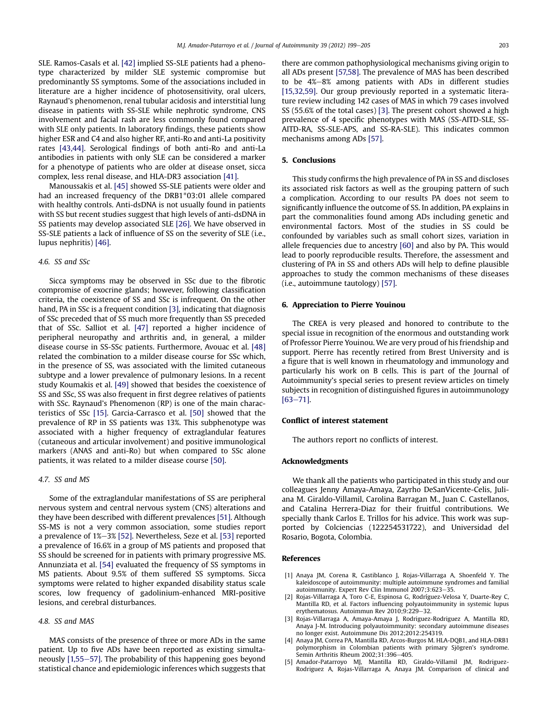<span id="page-4-0"></span>SLE. Ramos-Casals et al. [\[42\]](#page-5-0) implied SS-SLE patients had a phenotype characterized by milder SLE systemic compromise but predominantly SS symptoms. Some of the associations included in literature are a higher incidence of photosensitivity, oral ulcers, Raynaud's phenomenon, renal tubular acidosis and interstitial lung disease in patients with SS-SLE while nephrotic syndrome, CNS involvement and facial rash are less commonly found compared with SLE only patients. In laboratory findings, these patients show higher ESR and C4 and also higher RF, anti-Ro and anti-La positivity rates [\[43,44\].](#page-5-0) Serological findings of both anti-Ro and anti-La antibodies in patients with only SLE can be considered a marker for a phenotype of patients who are older at disease onset, sicca complex, less renal disease, and HLA-DR3 association [\[41\].](#page-5-0)

Manoussakis et al. [\[45\]](#page-5-0) showed SS-SLE patients were older and had an increased frequency of the DRB1\*03:01 allele compared with healthy controls. Anti-dsDNA is not usually found in patients with SS but recent studies suggest that high levels of anti-dsDNA in SS patients may develop associated SLE [\[26\].](#page-5-0) We have observed in SS-SLE patients a lack of influence of SS on the severity of SLE (i.e., lupus nephritis) [\[46\].](#page-5-0)

## 4.6. SS and SSc

Sicca symptoms may be observed in SSc due to the fibrotic compromise of exocrine glands; however, following classification criteria, the coexistence of SS and SSc is infrequent. On the other hand, PA in SSc is a frequent condition [3], indicating that diagnosis of SSc preceded that of SS much more frequently than SS preceded that of SSc. Salliot et al. [\[47\]](#page-5-0) reported a higher incidence of peripheral neuropathy and arthritis and, in general, a milder disease course in SS-SSc patients. Furthermore, Avouac et al. [\[48\]](#page-5-0) related the combination to a milder disease course for SSc which, in the presence of SS, was associated with the limited cutaneous subtype and a lower prevalence of pulmonary lesions. In a recent study Koumakis et al. [\[49\]](#page-5-0) showed that besides the coexistence of SS and SSc, SS was also frequent in first degree relatives of patients with SSc. Raynaud's Phenomenon (RP) is one of the main characteristics of SSc [\[15\]](#page-5-0). Garcia-Carrasco et al. [\[50\]](#page-5-0) showed that the prevalence of RP in SS patients was 13%. This subphenotype was associated with a higher frequency of extraglandular features (cutaneous and articular involvement) and positive immunological markers (ANAS and anti-Ro) but when compared to SSc alone patients, it was related to a milder disease course [\[50\]](#page-5-0).

### 4.7. SS and MS

Some of the extraglandular manifestations of SS are peripheral nervous system and central nervous system (CNS) alterations and they have been described with different prevalences [\[51\].](#page-5-0) Although SS-MS is not a very common association, some studies report a prevalence of  $1\% - 3\%$  [\[52\].](#page-5-0) Nevertheless, Seze et al. [\[53\]](#page-5-0) reported a prevalence of 16.6% in a group of MS patients and proposed that SS should be screened for in patients with primary progressive MS. Annunziata et al. [\[54\]](#page-5-0) evaluated the frequency of SS symptoms in MS patients. About 9.5% of them suffered SS symptoms. Sicca symptoms were related to higher expanded disability status scale scores, low frequency of gadolinium-enhanced MRI-positive lesions, and cerebral disturbances.

## 4.8. SS and MAS

MAS consists of the presence of three or more ADs in the same patient. Up to five ADs have been reported as existing simultaneously [1,55–57]. The probability of this happening goes beyond statistical chance and epidemiologic inferences which suggests that there are common pathophysiological mechanisms giving origin to all ADs present [\[57,58\].](#page-5-0) The prevalence of MAS has been described to be  $4\%-8\%$  among patients with ADs in different studies [\[15,32,59\]](#page-5-0). Our group previously reported in a systematic literature review including 142 cases of MAS in which 79 cases involved SS (55.6% of the total cases) [3]. The present cohort showed a high prevalence of 4 specific phenotypes with MAS (SS-AITD-SLE, SS-AITD-RA, SS-SLE-APS, and SS-RA-SLE). This indicates common mechanisms among ADs [\[57\]](#page-5-0).

#### 5. Conclusions

This study confirms the high prevalence of PA in SS and discloses its associated risk factors as well as the grouping pattern of such a complication. According to our results PA does not seem to significantly influence the outcome of SS. In addition, PA explains in part the commonalities found among ADs including genetic and environmental factors. Most of the studies in SS could be confounded by variables such as small cohort sizes, variation in allele frequencies due to ancestry [\[60\]](#page-5-0) and also by PA. This would lead to poorly reproducible results. Therefore, the assessment and clustering of PA in SS and others ADs will help to define plausible approaches to study the common mechanisms of these diseases (i.e., autoimmune tautology) [\[57\].](#page-5-0)

## 6. Appreciation to Pierre Youinou

The CREA is very pleased and honored to contribute to the special issue in recognition of the enormous and outstanding work of Professor Pierre Youinou. We are very proud of his friendship and support. Pierre has recently retired from Brest University and is a figure that is well known in rheumatology and immunology and particularly his work on B cells. This is part of the Journal of Autoimmunity's special series to present review articles on timely subjects in recognition of distinguished figures in autoimmunology  $[63 - 71]$  $[63 - 71]$  $[63 - 71]$ .

## Conflict of interest statement

The authors report no conflicts of interest.

#### Acknowledgments

We thank all the patients who participated in this study and our colleagues Jenny Amaya-Amaya, Zayrho DeSanVicente-Celis, Juliana M. Giraldo-Villamil, Carolina Barragan M., Juan C. Castellanos, and Catalina Herrera-Diaz for their fruitful contributions. We specially thank Carlos E. Trillos for his advice. This work was supported by Colciencias (122254531722), and Universidad del Rosario, Bogota, Colombia.

#### References

- [1] Anaya JM, Corena R, Castiblanco J, Rojas-Villarraga A, Shoenfeld Y. The kaleidoscope of autoimmunity: multiple autoimmune syndromes and familial autoimmunity. Expert Rev Clin Immunol 2007;3:623-35.
- [2] Rojas-Villarraga A, Toro C-E, Espinosa G, Rodríguez-Velosa Y, Duarte-Rey C, Mantilla RD, et al. Factors influencing polyautoimmunity in systemic lupus erythematosus. Autoimmun Rev 2010;9:229-32.
- [3] Rojas-Villarraga A, Amaya-Amaya J, Rodriguez-Rodriguez A, Mantilla RD, Anaya J-M. Introducing polyautoimmunity: secondary autoimmune diseases no longer exist. Autoimmune Dis 2012;2012:254319.
- [4] Anaya JM, Correa PA, Mantilla RD, Arcos-Burgos M. HLA-DQB1, and HLA-DRB1 polymorphism in Colombian patients with primary Sjögren's syndrome. Semin Arthritis Rheum 2002;31:396-405.
- [5] Amador-Patarroyo MJ, Mantilla RD, Giraldo-Villamil JM, Rodriguez-Rodriguez A, Rojas-Villarraga A, Anaya JM. Comparison of clinical and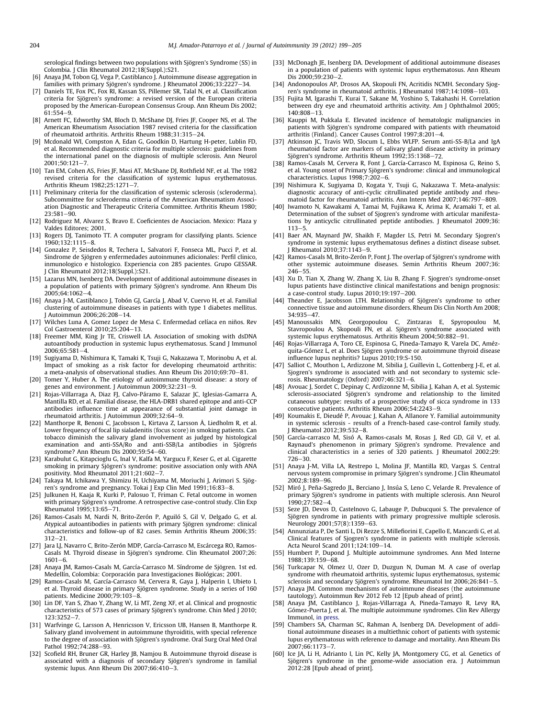<span id="page-5-0"></span>serological findings between two populations with Sjögren's Syndrome (SS) in Colombia. J Clin Rheumatol 2012;18(Suppl.):S21.

- [6] Anaya JM, Tobon GJ, Vega P, Castiblanco J. Autoimmune disease aggregation in families with primary Sjögren's syndrome. J Rheumatol  $2006;33:2227-34$ .
- [7] Daniels TE, Fox PC, Fox RI, Kassan SS, Pillemer SR, Talal N, et al. Classification criteria for Sjögren's syndrome: a revised version of the European criteria proposed by the American-European Consensus Group. Ann Rheum Dis 2002;  $61:554 - 9.$
- [8] Arnett FC, Edworthy SM, Bloch D, McShane DI, Fries IF, Cooper NS, et al. The American Rheumatism Association 1987 revised criteria for the classification of rheumatoid arthritis. Arthritis Rheum 1988:31:315-24.
- [9] Mcdonald WI, Compston A, Edan G, Goodkin D, Hartung H-peter, Lublin FD, et al. Recommended diagnostic criteria for multiple sclerosis: guidelines from the international panel on the diagnosis of multiple sclerosis. Ann Neurol  $2001:50:121-7.$
- [10] Tan EM, Cohen AS, Fries JF, Masi AT, McShane DJ, Rothfield NF, et al. The 1982 revised criteria for the classification of systemic lupus erythematosus. Arthritis Rheum 1982:25:1271-7.
- [11] Preliminary criteria for the classification of systemic sclerosis (scleroderma). Subcommittee for scleroderma criteria of the American Rheumatism Association Diagnostic and Therapeutic Criteria Committee. Arthritis Rheum 1980;  $23.581 - 90$
- [12] Rodriguez M, Alvarez S, Bravo E. Coeficientes de Asociacion. Mexico: Plaza y Valdes Editores; 2001.
- [13] Rogers DJ, Tanimoto TT. A computer program for classifying plants. Science  $1960:132:1115 - 8$
- [14] Gonzalez P, Seisdedos R, Techera L, Salvatori F, Fonseca ML, Pucci P, et al. Sindrome de Sjögren y enfermedades autoinmunes adicionales: Perfil clinico, inmunologico e histologico. Experiencia con 285 pacientes. Grupo GESSAR. J Clin Rheumatol 2012;18(Suppl.):S21.
- [15] Lazarus MN, Isenberg DA. Development of additional autoimmune diseases in a population of patients with primary Sjögren's syndrome. Ann Rheum Dis  $2005.64.1062 - 4$
- [16] Anaya J-M, Castiblanco J, Tobón GJ, García J, Abad V, Cuervo H, et al. Familial clustering of autoimmune diseases in patients with type 1 diabetes mellitus. Autoimmun 2006;26:208-14.
- [17] Wilches Luna A, Gomez Lopez de Mesa C. Enfermedad celíaca en niños. Rev Col Gastroenterol 2010;25:204-13.
- [18] Freemer MM, King Jr TE, Criswell LA. Association of smoking with dsDNA autoantibody production in systemic lupus erythematosus. Scand J Immunol 2006:65:581-4
- [19] Sugiyama D, Nishimura K, Tamaki K, Tsuji G, Nakazawa T, Morinobu A, et al. Impact of smoking as a risk factor for developing rheumatoid arthritis: a meta-analysis of observational studies. Ann Rheum Dis 2010;69:70-81.
- [20] Tomer Y, Huber A. The etiology of autoimmune thyroid disease: a story of genes and environment. J Autoimmun 2009;32:231-9.
- [21] Rojas-Villarraga A, Diaz FJ, Calvo-Páramo E, Salazar JC, Iglesias-Gamarra A, Mantilla RD, et al. Familial disease, the HLA-DRB1 shared epitope and anti-CCP antibodies influence time at appearance of substantial joint damage in rheumatoid arthritis. J Autoimmun 2009;32:64-9.
- [22] Manthorpe R, Benoni C, Jacobsson L, Kirtava Z, Larsson Å, Liedholm R, et al. Lower frequency of focal lip sialadenitis (focus score) in smoking patients. Can tobacco diminish the salivary gland involvement as judged by histological examination and anti-SSA/Ro and anti-SSB/La antibodies in Sjögrens syndrome? Ann Rheum Dis 2000;59:54-60.
- [23] Karabulut G, Kitapcioglu G, Inal V, Kalfa M, Yargucu F, Keser G, et al. Cigarette smoking in primary Sjögren's syndrome: positive association only with ANA positivity. Mod Rheumatol  $2011;21:602-7$ .
- [24] Takaya M, Ichikawa Y, Shimizu H, Uchiyama M, Moriuchi J, Arimori S. Sjögren's syndrome and pregnancy. Tokai J Exp Clin Med 1991;16:83-8.
- [25] Julkunen H, Kaaja R, Kurki P, Palosuo T, Friman C. Fetal outcome in women with primary Sjögren's syndrome. A retrospective case-control study. Clin Exp Rheumatol 1995;13:65-71.
- [26] Ramos-Casals M, Nardi N, Brito-Zerón P, Aguiló S, Gil V, Delgado G, et al. Atypical autoantibodies in patients with primary Sjögren syndrome: clinical characteristics and follow-up of 82 cases. Semin Arthritis Rheum 2006;35:  $312 - 21$ .
- [27] Jara LJ, Navarro C, Brito-Zerón MDP, García-Carrasco M, Escárcega RO, Ramos-Casals M. Thyroid disease in Sjögren's syndrome. Clin Rheumatol 2007;26:  $1601 - 6$ .
- [28] Anaya JM, Ramos-Casals M, García-Carrasco M. Síndrome de Sjögren. 1st ed. Medellín, Colombia: Corporación para Investigaciones Biológicas; 2001.
- [29] Ramos-Casals M, García-Carrasco M, Cervera R, Gaya J, Halperin I, Ubieto I, et al. Thyroid disease in primary Sjögren syndrome. Study in a series of 160 patients. Medicine 2000;79:103-8.
- [30] Lin DF, Yan S, Zhao Y, Zhang W, Li MT, Zeng XF, et al. Clinical and prognostic characteristics of 573 cases of primary Sjögren's syndrome. Chin Med J 2010; 123:3252-7.
- [31] Warfvinge G, Larsson A, Henricsson V, Ericsson UB, Hansen B, Manthorpe R. Salivary gland involvement in autoimmune thyroiditis, with special reference to the degree of association with Sjögren's syndrome. Oral Surg Oral Med Oral Pathol 1992:74:288-93.
- [32] Scofield RH, Bruner GR, Harley JB, Namjou B. Autoimmune thyroid disease is associated with a diagnosis of secondary Sjögren's syndrome in familial systemic lupus. Ann Rheum Dis  $2007;66;410-3$ .
- [33] McDonagh JE, Isenberg DA. Development of additional autoimmune diseases in a population of patients with systemic lupus erythematosus. Ann Rheum Dis 2000:59:230-2
- [34] Andonopoulos AP, Drosos AA, Skopouli FN, Acritidis NCMH. Secondary Sjogren's syndrome in rheumatoid arthritis. J Rheumatol 1987;14:1098-103.
- [35] Fujita M, Igarashi T, Kurai T, Sakane M, Yoshino S, Takahashi H. Correlation between dry eye and rheumatoid arthritis activity. Am J Ophthalmol 2005; 140:808-13.
- [36] Kauppi M, Pukkala E. Elevated incidence of hematologic malignancies in patients with Sjögren's syndrome compared with patients with rheumatoid arthritis (Finland). Cancer Causes Control 1997:8:201-4.
- [37] Atkinson JC, Travis WD, Slocum L, Ebbs WLFP. Serum anti-SS-B/La and IgA rheumatoid factor are markers of salivary gland disease activity in primary Sjögren's syndrome. Arthritis Rheum 1992;35:1368-72.
- [38] Ramos-Casals M, Cervera R, Font J, García-Carrasco M, Espinosa G, Reino S, et al. Young onset of Primary Sjögren's syndrome: clinical and immunological  $characteristics$  Lupus 1998; $7:202-6$
- [39] Nishimura K, Sugiyama D, Kogata Y, Tsuji G, Nakazawa T. Meta-analysis: diagnostic accuracy of anti-cyclic citrullinated peptide antibody and rheumatoid factor for rheumatoid arthritis. Ann Intern Med 2007;146:797-809.
- [40] Iwamoto N, Kawakami A, Tamai M, Fujikawa K, Arima K, Aramaki T, et al. Determination of the subset of Sjogren's syndrome with articular manifestations by anticyclic citrullinated peptide antibodies. J Rheumatol 2009;36:  $113 - 5$
- [41] Baer AN, Maynard JW, Shaikh F, Magder LS, Petri M. Secondary Sjogren's syndrome in systemic lupus erythematosus defines a distinct disease subset. I Rheumatol 2010:37:1143-9.
- [42] Ramos-Casals M, Brito-Zerón P, Font J. The overlap of Sjögren's syndrome with other systemic autoimmune diseases. Semin Arthritis Rheum 2007;36:  $246 - 55$
- [43] Xu D, Tian X, Zhang W, Zhang X, Liu B, Zhang F. Sjogren's syndrome-onset lupus patients have distinctive clinical manifestations and benign prognosis: a case-control study. Lupus  $2010;19:197-200$ .
- [44] Theander E, Jacobsson LTH. Relationship of Sjögren's syndrome to other connective tissue and autoimmune disorders. Rheum Dis Clin North Am 2008; 34:935-47.
- [45] Manoussakis MN, Georgopoulou C, Zintzaras E, Spyropoulou M, Stavropoulou A, Skopouli FN, et al. Sjögren's syndrome associated with systemic lupus erythematosus. Arthritis Rheum 2004;50:882-91.
- [46] Rojas-Villarraga A, Toro CE, Espinosa G, Pineda-Tamayo R, Varela DC, Amézquita-Gómez L, et al. Does Sjögren syndrome or autoimmune thyroid disease influence lupus nephritis? Lupus 2010;19:S-150.
- [47] Salliot C, Mouthon L, Ardizzone M, Sibilia J, Guillevin L, Gottenberg J-E, et al. Sjogren's syndrome is associated with and not secondary to systemic sclerosis. Rheumatology (Oxford) 2007;46:321-6.
- [48] Avouac J, Sordet C, Depinay C, Ardizonne M, Sibilia J, Kahan A, et al. Systemic sclerosis-associated Sjögren's syndrome and relationship to the limited cutaneous subtype: results of a prospective study of sicca syndrome in 133 consecutive patients. Arthritis Rheum 2006;54:2243-9.
- [49] Koumakis E, Dieudé P, Avouac J, Kahan A, Allanore Y. Familial autoimmunity in systemic sclerosis - results of a French-based case-control family study. I Rheumatol 2012:39:532-8.
- [50] García-carrasco M, Sisó A, Ramos-casals M, Rosas J, Red GD, Gil V, et al. Raynaud's phenomenon in primary Sjögren's syndrome. Prevalence and clinical characteristics in a series of 320 patients. J Rheumatol 2002;29:  $726 - 30$
- [51] Anaya J-M, Villa LA, Restrepo L, Molina JF, Mantilla RD, Vargas S. Central nervous system compromise in primary Sjögren's syndrome. J Clin Rheumatol 2002;8:189-96
- [52] Miró J, Peña-Sagredo JL, Berciano J, Insúa S, Leno C, Velarde R. Prevalence of primary Sjögren's syndrome in patients with multiple sclerosis. Ann Neurol  $1990:27:582-4.$
- [53] Seze JD, Devos D, Castelnovo G, Labauge P, Dubucquoi S. The prevalence of Sjögren syndrome in patients with primary progressive multiple sclerosis. Neurology 2001;57(8):1359-63.
- [54] Annunziata P, De Santi L, Di Rezze S, Millefiorini E, Capello E, Mancardi G, et al. Clinical features of Sjogren's syndrome in patients with multiple sclerosis. Acta Neurol Scand 2011;124:109-14.
- [55] Humbert P, Dupond J. Multiple autoimmune syndromes. Ann Med Interne 1988:139:159-68.
- [56] Turkcapar N, Olmez U, Ozer D, Duzgun N, Duman M. A case of overlap syndrome with rheumatoid arthritis, systemic lupus erythematosus, systemic sclerosis and secondary Sjögren's syndrome. Rheumatol Int 2006;26:841-5.
- [57] Anaya JM. Common mechanisms of autoimmune diseases (the autoimmune tautology). Autoimmun Rev 2012 Feb 12 [Epub ahead of print].
- [58] Anaya JM, Castiblanco J, Rojas-Villarraga A, Pineda-Tamayo R, Levy RA, Gómez-Puerta J, et al. The multiple autoimmune syndromes. Clin Rev Allergy Immunol, [in press.](http://dx.doi.org/10.1007/s12016-012-8317-z)
- [59] Chambers SA, Charman SC, Rahman A, Isenberg DA. Development of additional autoimmune diseases in a multiethnic cohort of patients with systemic lupus erythematosus with reference to damage and mortality. Ann Rheum Dis 2007;66:1173-7.
- [60] Ice JA, Li H, Adrianto I, Lin PC, Kelly JA, Montgomery CG, et al. Genetics of Sjögren's syndrome in the genome-wide association era. J Autoimmun 2012:28 [Epub ahead of print].